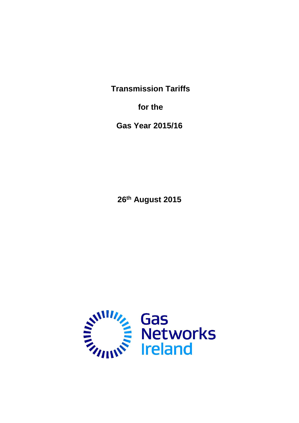**Transmission Tariffs**

**for the**

**Gas Year 2015/16**

**26 th August 2015**

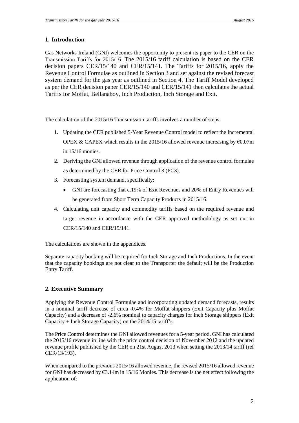## **1. Introduction**

Gas Networks Ireland (GNI) welcomes the opportunity to present its paper to the CER on the Transmission Tariffs for 2015/16. The 2015/16 tariff calculation is based on the CER decision papers CER/15/140 and CER/15/141. The Tariffs for 2015/16, apply the Revenue Control Formulae as outlined in Section 3 and set against the revised forecast system demand for the gas year as outlined in Section 4. The Tariff Model developed as per the CER decision paper CER/15/140 and CER/15/141 then calculates the actual Tariffs for Moffat, Bellanaboy, Inch Production, Inch Storage and Exit.

The calculation of the 2015/16 Transmission tariffs involves a number of steps:

- 1. Updating the CER published 5-Year Revenue Control model to reflect the Incremental OPEX & CAPEX which results in the 2015/16 allowed revenue increasing by  $\epsilon$ 0.07m in 15/16 monies.
- 2. Deriving the GNI allowed revenue through application of the revenue control formulae as determined by the CER for Price Control 3 (PC3).
- 3. Forecasting system demand, specifically:
	- GNI are forecasting that c.19% of Exit Revenues and 20% of Entry Revenues will be generated from Short Term Capacity Products in 2015/16.
- 4. Calculating unit capacity and commodity tariffs based on the required revenue and target revenue in accordance with the CER approved methodology as set out in CER/15/140 and CER/15/141.

The calculations are shown in the appendices.

Separate capacity booking will be required for Inch Storage and Inch Productions. In the event that the capacity bookings are not clear to the Transporter the default will be the Production Entry Tariff.

## **2. Executive Summary**

Applying the Revenue Control Formulae and incorporating updated demand forecasts, results in a nominal tariff decrease of circa -0.4% for Moffat shippers (Exit Capacity plus Moffat Capacity) and a decrease of -2.6% nominal to capacity charges for Inch Storage shippers (Exit Capacity + Inch Storage Capacity) on the 2014/15 tariff's.

The Price Control determines the GNI allowed revenues for a 5-year period. GNI has calculated the 2015/16 revenue in line with the price control decision of November 2012 and the updated revenue profile published by the CER on 21st August 2013 when setting the 2013/14 tariff (ref CER/13/193).

When compared to the previous 2015/16 allowed revenue, the revised 2015/16 allowed revenue for GNI has decreased by  $\epsilon$ 3.14m in 15/16 Monies. This decrease is the net effect following the application of: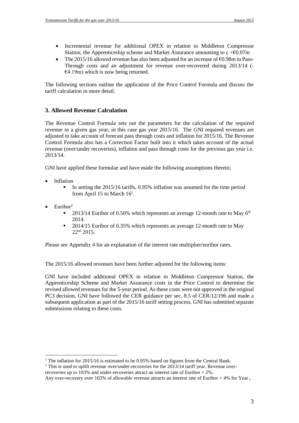- Incremental revenue for additional OPEX in relation to Middleton Compressor Station, the Apprenticeship scheme and Market Assurance amounting to  $c + 60.07$ m
- The 2015/16 allowed revenue has also been adjusted for an increase of  $\epsilon$ 0.98m in Pass-Through costs and an adjustment for revenue over-recovered during 2013/14 (-  $E(4.19m)$  which is now being returned.

The following sections outline the application of the Price Control Formula and discuss the tariff calculation in more detail.

## **3. Allowed Revenue Calculation**

The Revenue Control Formula sets out the parameters for the calculation of the required revenue in a given gas year, in this case gas year 2015/16. The GNI required revenues are adjusted to take account of forecast pass through costs and inflation for 2015/16. The Revenue Control Formula also has a Correction Factor built into it which takes account of the actual revenue (over/under recoveries), inflation and pass through costs for the previous gas year i.e. 2013/14.

GNI have applied these formulae and have made the following assumptions therein;

- Inflation
	- In setting the 2015/16 tariffs, 0.95% inflation was assumed for the time period from April 15 to March  $16<sup>1</sup>$ .
- $\bullet$  Euribor<sup>2</sup>
	- $2013/14$  Euribor of 0.56% which represents an average 12-month rate to May 6<sup>th</sup> 2014.
	- <sup>2014/15</sup> Euribor of 0.35% which represents an average 12-month rate to May 22nd 2015.

Please see Appendix 4 for an explanation of the interest rate multiplier/euribor rates.

The 2015/16 allowed revenues have been further adjusted for the following items:

GNI have included additional OPEX in relation to Middleton Compressor Station, the Apprenticeship Scheme and Market Assurance costs in the Price Control to determine the revised allowed revenues for the 5-year period. As these costs were not approved in the original PC3 decision, GNI have followed the CER guidance per sec. 8.5 of CER/12/196 and made a subsequent application as part of the 2015/16 tariff setting process. GNI has submitted separate submissions relating to these costs.

 $\overline{a}$ <sup>1</sup> The inflation for 2015/16 is estimated to be 0.95% based on figures from the Central Bank.

 $2$  This is used to uplift revenue over/under-recoveries for the 2013/14 tariff year. Revenue overrecoveries up to 103% and under-recoveries attract an interest rate of Euribor + 2%.

Any over-recovery over 103% of allowable revenue attracts an interest rate of Euribor  $+ 4\%$  for Year  $_{L}$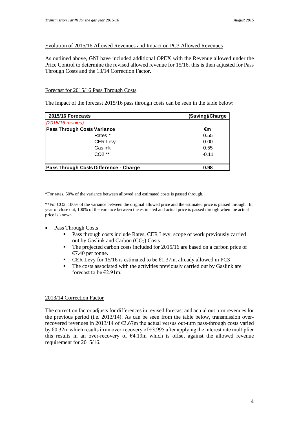#### Evolution of 2015/16 Allowed Revenues and Impact on PC3 Allowed Revenues

As outlined above, GNI have included additional OPEX with the Revenue allowed under the Price Control to determine the revised allowed revenue for 15/16, this is then adjusted for Pass Through Costs and the 13/14 Correction Factor.

#### Forecast for 2015/16 Pass Through Costs

The impact of the forecast 2015/16 pass through costs can be seen in the table below:

| 2015/16 Forecasts                      | (Saving)/Charge |
|----------------------------------------|-----------------|
| (2015/16 monies)                       |                 |
| <b>Pass Through Costs Variance</b>     | €m              |
| Rates *                                | 0.55            |
| <b>CER Lew</b>                         | 0.00            |
| Gaslink                                | 0.55            |
| $CO2**$                                | $-0.11$         |
|                                        |                 |
| Pass Through Costs Difference - Charge | 0.98            |

\*For rates, 50% of the variance between allowed and estimated costs is passed through.

\*\*For CO2, 100% of the variance between the original allowed price and the estimated price is passed through. In year of close out, 100% of the variance between the estimated and actual price is passed through when the actual price is known.

- Pass Through Costs
	- Pass through costs include Rates, CER Levy, scope of work previously carried out by Gaslink and Carbon  $(CO_2)$  Costs
	- The projected carbon costs included for 2015/16 are based on a carbon price of €7.40 per tonne.
	- CER Levy for 15/16 is estimated to be  $E1.37m$ , already allowed in PC3
	- The costs associated with the activities previously carried out by Gaslink are forecast to be  $E2.91$ m.

#### 2013/14 Correction Factor

The correction factor adjusts for differences in revised forecast and actual out turn revenues for the previous period (i.e. 2013/14). As can be seen from the table below, transmission overrecovered revenues in 2013/14 of €3.67m the actual versus out-turn pass-through costs varied by  $\epsilon$ 0.32m which results in an over-recovery of  $\epsilon$ 3.995 after applying the interest rate multiplier this results in an over-recovery of  $E4.19m$  which is offset against the allowed revenue requirement for 2015/16.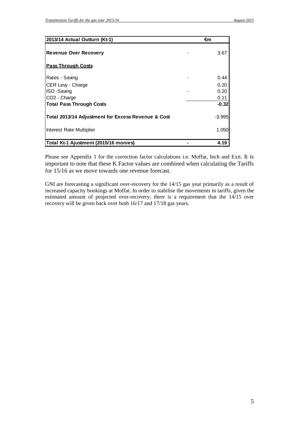| 2013/14 Actual Outturn (Kt-1)                      | €m       |
|----------------------------------------------------|----------|
| <b>Revenue Over Recovery</b>                       | 3.67     |
| <b>Pass Through Costs</b>                          |          |
| Rates - Saving                                     | 0.44     |
| CER Levy - Charge                                  | 0.20     |
| <b>ISO</b> -Saving                                 | 0.20     |
| CO <sub>2</sub> - Charge                           | 0.11     |
| <b>Total Pass Through Costs</b>                    | $-0.32$  |
| Total 2013/14 Adjustment for Excess Revenue & Cost | $-3.995$ |
| Interest Rate Multiplier                           | 1.050    |
| Total Kt-1 Ajustment (2015/16 monies)              | 4.19     |

Please see Appendix 1 for the correction factor calculations i.e. Moffat, Inch and Exit. It is important to note that these K Factor values are combined when calculating the Tariffs for 15/16 as we move towards one revenue forecast.

GNI are forecasting a significant over-recovery for the 14/15 gas year primarily as a result of increased capacity bookings at Moffat. In order to stabilise the movements in tariffs, given the estimated amount of projected over-recovery, there is a requirement that the 14/15 over recovery will be given back over both 16/17 and 17/18 gas years.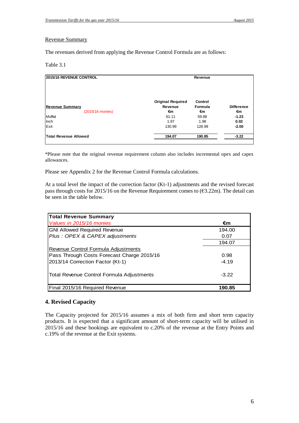#### Revenue Summary

The revenues derived from applying the Revenue Control Formula are as follows:

Table 3.1

| 2015/16 REVENUE CONTROL | <b>Revenue</b>                      |                    |                   |  |
|-------------------------|-------------------------------------|--------------------|-------------------|--|
| <b>Revenue Summary</b>  | <b>Original Required</b><br>Revenue | Control<br>Formula | <b>Difference</b> |  |
| (2015/16 monies)        | €m                                  | €m                 | €m                |  |
| Moffat                  | 61.11                               | 59.88              | $-1.23$           |  |
| Inch                    | 1.97                                | 1.98               | 0.02              |  |
| Exit                    | 130.99                              | 128.99             | $-2.00$           |  |
| Total Revenue Allowed   | 194.07                              | 190.85             | $-3.22$           |  |

\*Please note that the original revenue requirement column also includes incremental opex and capex allowances.

Please see Appendix 2 for the Revenue Control Formula calculations.

At a total level the impact of the correction factor (Kt-1) adjustments and the revised forecast pass through costs for 2015/16 on the Revenue Requirement comes to  $(\text{\textsterling}3.22\text{m})$ . The detail can be seen in the table below.

| <b>Total Revenue Summary</b>               |         |
|--------------------------------------------|---------|
| Values in 2015/16 monies                   | €m      |
| <b>GNI Allowed Required Revenue</b>        | 194.00  |
| Plus: OPEX & CAPEX adjustments             | 0.07    |
|                                            | 194.07  |
| Revenue Control Formula Adjustments        |         |
| Pass Through Costs Forecast Charge 2015/16 | 0.98    |
| 2013/14 Correction Factor (Kt-1)           | $-4.19$ |
| Total Revenue Control Formula Adjustments  | $-3.22$ |
| Final 2015/16 Required Revenue             | 190.85  |

## **4. Revised Capacity**

The Capacity projected for 2015/16 assumes a mix of both firm and short term capacity products. It is expected that a significant amount of short-term capacity will be utilised in 2015/16 and these bookings are equivalent to c.20% of the revenue at the Entry Points and c.19% of the revenue at the Exit systems.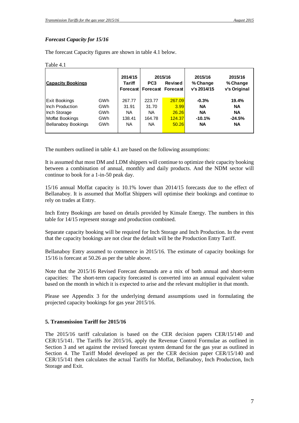#### *Forecast Capacity for 15/16*

The forecast Capacity figures are shown in table 4.1 below.

| ×<br>۰.<br>×<br>۹ |  |
|-------------------|--|
|-------------------|--|

| <b>Capacity Bookings</b>   |            | 2014/15<br>Tariff<br>Forecast | 2015/16<br>Revised<br>PC <sub>3</sub><br><b>Forecast Forecast</b> |        | 2015/16<br>% Change<br>v's 2014/15 | 2015/16<br>% Change<br>v's Original |
|----------------------------|------------|-------------------------------|-------------------------------------------------------------------|--------|------------------------------------|-------------------------------------|
| <b>Exit Bookings</b>       | GWh        | 267.77                        | 223.77                                                            | 267.09 | $-0.3%$                            | 19.4%                               |
| Inch Production            | GWh        | 31.91                         | 31.70                                                             | 3.99   | <b>NA</b>                          | <b>NA</b>                           |
| Inch Storage               | GWh        | <b>NA</b>                     | NА                                                                | 26.26  | <b>NA</b>                          | <b>NA</b>                           |
| Moffat Bookings            | GWh        | 138.41                        | 164.78                                                            | 124.37 | $-10.1%$                           | $-24.5%$                            |
| <b>Bellanaboy Bookings</b> | <b>GWh</b> | <b>NA</b>                     | <b>NA</b>                                                         | 50.26  | <b>NA</b>                          | <b>NA</b>                           |

The numbers outlined in table 4.1 are based on the following assumptions:

It is assumed that most DM and LDM shippers will continue to optimize their capacity booking between a combination of annual, monthly and daily products. And the NDM sector will continue to book for a 1-in-50 peak day.

15/16 annual Moffat capacity is 10.1% lower than 2014/15 forecasts due to the effect of Bellanaboy. It is assumed that Moffat Shippers will optimise their bookings and continue to rely on trades at Entry.

Inch Entry Bookings are based on details provided by Kinsale Energy. The numbers in this table for 14/15 represent storage and production combined.

Separate capacity booking will be required for Inch Storage and Inch Production. In the event that the capacity bookings are not clear the default will be the Production Entry Tariff.

Bellanaboy Entry assumed to commence in 2015/16. The estimate of capacity bookings for 15/16 is forecast at 50.26 as per the table above.

Note that the 2015/16 Revised Forecast demands are a mix of both annual and short-term capacities: The short-term capacity forecasted is converted into an annual equivalent value based on the month in which it is expected to arise and the relevant multiplier in that month.

Please see Appendix 3 for the underlying demand assumptions used in formulating the projected capacity bookings for gas year 2015/16.

#### **5. Transmission Tariff for 2015/16**

The 2015/16 tariff calculation is based on the CER decision papers CER/15/140 and CER/15/141. The Tariffs for 2015/16, apply the Revenue Control Formulae as outlined in Section 3 and set against the revised forecast system demand for the gas year as outlined in Section 4. The Tariff Model developed as per the CER decision paper CER/15/140 and CER/15/141 then calculates the actual Tariffs for Moffat, Bellanaboy, Inch Production, Inch Storage and Exit.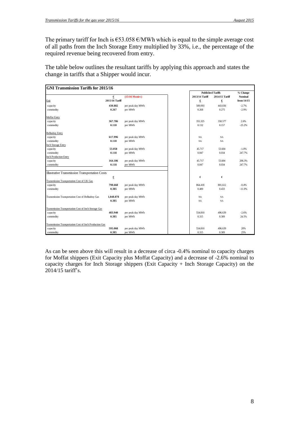The primary tariff for Inch is  $\epsilon$ 53.058  $\epsilon$ /MWh which is equal to the simple average cost of all paths from the Inch Storage Entry multiplied by 33%, i.e., the percentage of the required revenue being recovered from entry.

The table below outlines the resultant tariffs by applying this approach and states the change in tariffs that a Shipper would incur.

|                                                         |                        |                  |                | <b>Published Tariffs</b> | % Change       |
|---------------------------------------------------------|------------------------|------------------|----------------|--------------------------|----------------|
|                                                         | $\epsilon$             | $(15/16$ Monies) | 2013/14 Tariff | 2014/15 Tariff           | <b>Nominal</b> |
| Exit                                                    | 2015/16 Tariff         |                  | €              | $\epsilon$               | from 14/15     |
| capacity                                                | 430.882                | per peak day MWh | 509.093        | 443.036                  | $-2.7%$        |
| commodity                                               | 0.267                  | per MWh          | 0.268          | 0.275                    | $-2.9%$        |
| <b>Moffat Entry</b>                                     |                        |                  |                |                          |                |
| capacity                                                | 367.786                | per peak day MWh | 355.325        | 358,577                  | 2.6%           |
| commodity                                               | 0.118                  | per MWh          | 0.132          | 0.157                    | $-25.2%$       |
| <b>Bellnaboy Entry</b>                                  |                        |                  |                |                          |                |
| capacity                                                | 617.996                | per peak day MWh | <b>NA</b>      | NA                       |                |
| commodity                                               | 0.118                  | per MWh          | <b>NA</b>      | NA                       |                |
| <b>Inch Storage Entry</b>                               |                        |                  |                |                          |                |
| capacity                                                | 53.058                 | per peak day MWh | 45.717         | 53.604                   | $-1.0%$        |
| commodity                                               | 0.118                  | per MWh          | 0.047          | 0.034                    | 247.7%         |
| <b>Inch Production Entry</b>                            |                        |                  |                |                          |                |
| capacity                                                | 164.186                | per peak day MWh | 45.717         | 53.604                   | 206.3%         |
| commodity                                               | 0.118                  | per MWh          | 0.047          | 0.034                    | 247.7%         |
| <b>Illustrative Transmission Transportation Costs</b>   |                        |                  |                |                          |                |
|                                                         | $\underline{\epsilon}$ |                  | €              | $\epsilon$               |                |
| Transmission Transportation Cost of UK Gas              |                        |                  |                |                          |                |
| capacity                                                | 798.668                | per peak day MWh | 864.418        | 801.612                  | $-0.4%$        |
| commodity                                               | 0.385                  | per MWh          | 0.400          | 0.433                    | $-11.0%$       |
| Transmission Transportation Cost of Bellnaboy Gas       | 1,048.878              | per peak day MWh | <b>NA</b>      | NA                       |                |
|                                                         | 0.385                  | per MWh          | <b>NA</b>      | NA                       |                |
| Transmission Transportation Cost of Inch Storage Gas    |                        |                  |                |                          |                |
| capacity                                                | 483.940                | per peak day MWh | 554.810        | 496.639                  | $-2.6%$        |
| commodity                                               | 0.385                  | per MWh          | 0.315          | 0.309                    | 24.5%          |
| Transmission Transportation Cost of Inch Production Gas |                        |                  |                |                          |                |
| capacity                                                | 595.068                | per peak day MWh | 554.810        | 496.639                  | 20%            |
| commodity                                               | 0.385                  | per MWh          | 0.315          | 0.309                    | 25%            |

As can be seen above this will result in a decrease of circa -0.4% nominal to capacity charges for Moffat shippers (Exit Capacity plus Moffat Capacity) and a decrease of -2.6% nominal to capacity charges for Inch Storage shippers (Exit Capacity + Inch Storage Capacity) on the 2014/15 tariff's.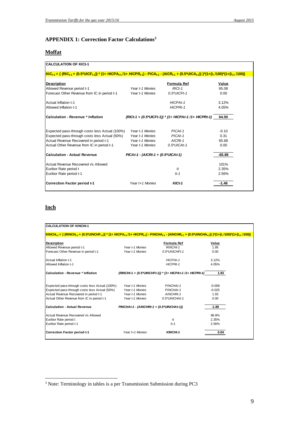# **APPENDIX 1: Correction Factor Calculations<sup>3</sup>**

## **Moffat**

| <b>CALCULATION OF KICt-1</b>                                                                                                                                                              |                                       |                                                       |          |
|-------------------------------------------------------------------------------------------------------------------------------------------------------------------------------------------|---------------------------------------|-------------------------------------------------------|----------|
| $KIC_{t-1} = \{ (RIC_{t-1} + (0.5^{\circ}UICF_{t-1}))^* (1 + HICPA_{t-1}/1 + HICPR_{t-1}) - PICA_{t-1} - (AICR_{t-1} + (0.5^{\circ}UICA_{t-1})) \}^*(1 + (I_t/100)^*(1 + (I_{t-1}/100)))$ |                                       |                                                       |          |
| <b>Description</b>                                                                                                                                                                        |                                       | Formula Ref                                           | Value    |
| Allowed Revenue period t-1                                                                                                                                                                | Year t-1 Monies                       | $RICt-1$                                              | 65.08    |
| Forecast Other Revenue from IC in period t-1                                                                                                                                              | Year t-1 Monies                       | $0.5*UICFt-1$                                         | 0.00     |
| Actual Inflation t-1                                                                                                                                                                      |                                       | HICPAt-1                                              | 3.12%    |
| Allowed Inflation t-1                                                                                                                                                                     |                                       | HICPRt-1                                              | 4.05%    |
| <b>Calculation - Revenue * Inflation</b>                                                                                                                                                  |                                       | (RICt-1 + (0.5*UICFt-1)) * (1+ HICPAt-1 /1+ HICPRt-1) | 64.50    |
| Expected pass-through costs less Actual (100%)                                                                                                                                            | Year t-1 Monies                       | $PICAt-1$                                             | $-0.10$  |
| Expected pass-through costs less Actual (50%)                                                                                                                                             | Year t-1 Monies                       | $PICAt-1$                                             | 0.31     |
| Actual Revenue Recovered in period t-1                                                                                                                                                    | Year t-1 Monies                       | $AICRt-1$                                             | 65.68    |
| Actual Other Revenue from IC in period t-1                                                                                                                                                | Year t-1 Monies                       | $0.5*UICAt-1$                                         | 0.00     |
| <b>Calculation - Actual Revenue</b>                                                                                                                                                       | $PICAt-1 - (AICRt-1 + (0.5*UICAt-1))$ |                                                       | $-65.89$ |
| Actual Revenue Recovered Vs Allowed                                                                                                                                                       |                                       |                                                       | 101%     |
| Euribor Rate period t                                                                                                                                                                     |                                       | It                                                    | 2.35%    |
| Euribor Rate period t-1                                                                                                                                                                   |                                       | $It-1$                                                | 2.56%    |
| <b>Correction Factor period t-1</b>                                                                                                                                                       | Year $t+1$ Monies                     | $KICt-1$                                              | -1.46    |

#### **Inch**

 $\overline{a}$ 

| <b>CALCULATION OF KINCHt-1</b>                                                                                                                                                                                                                                               |                 |                                                           |          |
|------------------------------------------------------------------------------------------------------------------------------------------------------------------------------------------------------------------------------------------------------------------------------|-----------------|-----------------------------------------------------------|----------|
| KINCH <sub>t-1</sub> = { (RINCH <sub>t-1</sub> + (0.5*UINCHF <sub>t-1</sub> )) * (1+ HICPA <sub>t-1</sub> /1+ HICPR <sub>t-1</sub> ) - PINCHA <sub>t-1</sub> - (AINCHR <sub>t-1</sub> + (0.5*UINCHA <sub>t-1</sub> )) }*(1+(I <sub>t</sub> /100)*(1+(I <sub>t-1</sub> /100)) |                 |                                                           |          |
|                                                                                                                                                                                                                                                                              |                 |                                                           |          |
| <b>Description</b>                                                                                                                                                                                                                                                           |                 | Formula Ref                                               | Value    |
| Allowed Revenue period t-1                                                                                                                                                                                                                                                   | Year t-1 Monies | RINCHt-1                                                  | 1.95     |
| Forecast Other Revenue in period t-1                                                                                                                                                                                                                                         | Year t-1 Monies | 0.5*UINCHFt-1                                             | 0.00     |
| Actual Inflation t-1                                                                                                                                                                                                                                                         |                 | HICPAt-1                                                  | 3.12%    |
| Allowed Inflation t-1                                                                                                                                                                                                                                                        |                 | HICPRt-1                                                  | 4.05%    |
| Calculation - Revenue * Inflation                                                                                                                                                                                                                                            |                 | (RINCHt-1 + (0.5*UINCHFt-1)) * (1+ HICPAt-1 /1+ HICPRt-1) | 1.93     |
| Expected pass-through costs less Actual (100%)                                                                                                                                                                                                                               | Year t-1 Monies | PINCHAt-1                                                 | $-0.008$ |
| Expected pass-through costs less Actual (50%)                                                                                                                                                                                                                                | Year t-1 Monies | PINCHAt-1                                                 | $-0.025$ |
| Actual Revenue Recovered in period t-1                                                                                                                                                                                                                                       | Year t-1 Monies | AINCHRt-1                                                 | 1.93     |
| Actual Other Revenue from IC in period t-1                                                                                                                                                                                                                                   | Year t-1 Monies | $0.5$ *UINCHAt-1                                          | 0.00     |
| Calculation - Actual Revenue                                                                                                                                                                                                                                                 |                 | $PINCHAt-1 - (AINCHRt-1 + (0.5*UINCHAt-1))$               | $-1.89$  |
| Actual Revenue Recovered Vs Allowed                                                                                                                                                                                                                                          |                 |                                                           | 98.8%    |
| Euribor Rate period t                                                                                                                                                                                                                                                        |                 | lt                                                        | 2.35%    |
| Euribor Rate period t-1                                                                                                                                                                                                                                                      |                 | $It-1$                                                    | 2.56%    |
| Correction Factor period t-1                                                                                                                                                                                                                                                 | Year t+1 Monies | KINCHt-1                                                  | 0.04     |

 $3$  Note: Terminology in tables is a per Transmission Submission during PC3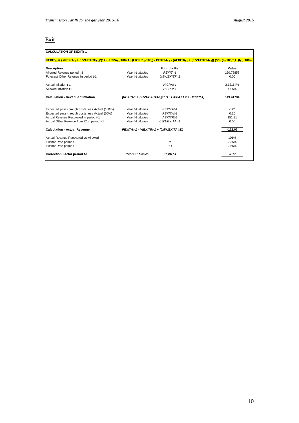## **Exit**

| <b>CALCULATION OF KEXITt-1</b>                                                                                                                                                                |                                           |                                                           |           |
|-----------------------------------------------------------------------------------------------------------------------------------------------------------------------------------------------|-------------------------------------------|-----------------------------------------------------------|-----------|
| $ KEXIT_{k1} = \{ (REXIT_{k1} + 0.5^*UEXITF_{k1})^*(1 + (HICPA_{k1}/100)/1 + (HICPR_{k1}/100)) - PEXITA_{k1} - (AEXITR_{k1} + (0.5^*UEXITA_{k1})) \}^*(1 + (I_{k1}/100))^*(1 + (I_{k1}/100))$ |                                           |                                                           |           |
| <b>Description</b>                                                                                                                                                                            |                                           | Formula Ref                                               | Value     |
| Allowed Revenue period t-1                                                                                                                                                                    | Year t-1 Monies                           | REXIT <sub>t-1</sub>                                      | 150.75858 |
| Forecast Other Revenue in period t-1                                                                                                                                                          | Year t-1 Monies                           | 0.5*UEXITFt-1                                             | 0.00      |
| Actual Inflation t-1                                                                                                                                                                          |                                           | HICPAt-1                                                  | 3.12164%  |
| Allowed Inflation t-1                                                                                                                                                                         |                                           | HICPRt-1                                                  | 4.05%     |
| Calculation - Revenue * Inflation                                                                                                                                                             |                                           | (REXITt-1 + (0.5*UEXITFt-1)) * (1+ HICPAt-1 /1+ HICPRt-1) | 149.41784 |
| Expected pass-through costs less Actual (100%)                                                                                                                                                | Year t-1 Monies                           | PEXITAt-1                                                 | $-0.01$   |
| Expected pass-through costs less Actual (50%)                                                                                                                                                 | Year t-1 Monies                           | PEXITAt-1                                                 | 0.16      |
| Actual Revenue Recovered in period t-1                                                                                                                                                        | Year t-1 Monies                           | AEXITRt-1                                                 | 151.91    |
| Actual Other Revenue from IC in period t-1                                                                                                                                                    | Year t-1 Monies                           | $0.5*UEXITAt-1$                                           | 0.00      |
| Calculation - Actual Revenue                                                                                                                                                                  | PEXITAt-1 - (AEXITRt-1 + (0.5*UEXITAt-1)) |                                                           | $-152.06$ |
| Actual Revenue Recovered Vs Allowed                                                                                                                                                           |                                           |                                                           | 101%      |
| Euribor Rate period t                                                                                                                                                                         |                                           | It                                                        | 2.35%     |
| Euribor Rate period t-1                                                                                                                                                                       |                                           | $It-1$                                                    | 2.56%     |
| <b>Correction Factor period t-1</b>                                                                                                                                                           | Year t+1 Monies                           | <b>KEXITt-1</b>                                           | $-2.77$   |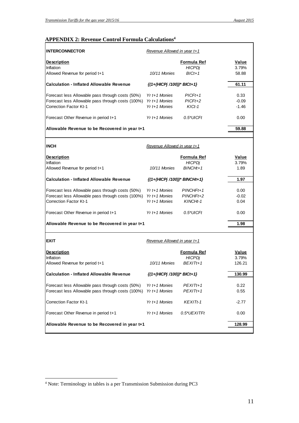## **APPENDIX 2: Revenue Control Formula Calculations<sup>4</sup>**

| IINTERCONNECTOR                                                 | Revenue Allowed in year t+1    |                             |                       |
|-----------------------------------------------------------------|--------------------------------|-----------------------------|-----------------------|
| <b>Description</b>                                              |                                | Formula Ref                 | Value                 |
| Inflation                                                       |                                | <b>HICPDj</b>               | 3.79%                 |
| Allowed Revenue for period t+1                                  | 10/11 Monies                   | $BICt+1$                    | 58.88                 |
| <b>Calculation - Inflated Allowable Revenue</b>                 | $\{(1+(HICPj/100))^* BICt+1\}$ |                             | 61.11                 |
| Forecast less Allowable pass through costs (50%)                | $Yr t + 1$ Monies              | $PICFt+1$                   | 0.33                  |
| Forecast less Allowable pass through costs (100%) Yr t+1 Monies |                                | $PICFt+2$                   | $-0.09$               |
| <b>Correction Factor Kt-1</b>                                   | $Yr t + 1$ Monies              | $KICt-1$                    | $-1.46$               |
| Forecast Other Revenue in period t+1                            | $Yr + 1$ Monies                | $0.5^*$ UICFt               | 0.00                  |
| Allowable Revenue to be Recovered in year t+1                   |                                |                             | 59.88                 |
|                                                                 |                                |                             |                       |
| <b>IINCH</b>                                                    | Revenue Allowed in year t+1    |                             |                       |
| <b>Description</b>                                              |                                | <b>Formula Ref</b>          | Value                 |
| Inflation                                                       |                                | <b>HICPDi</b>               | 3.79%                 |
| Allowed Revenue for period t+1                                  | 10/11 Monies                   | $BINCHt+1$                  | 1.89                  |
| <b>Calculation - Inflated Allowable Revenue</b>                 | {(1+(HICPj /100))* BINCHt+1}   |                             | 1.97                  |
| Forecast less Allowable pass through costs (50%)                | $Yr t + 1$ Monies              | $PINCHFit+1$                | 0.00                  |
| Forecast less Allowable pass through costs (100%) Yr t+1 Monies |                                | PINCHFt+2                   | $-0.02$               |
| <b>Correction Factor Kt-1</b>                                   | $Yr$ t+1 Monies                | KINCHt-1                    | 0.04                  |
| Forecast Other Revenue in period t+1                            | $Yr t + 1$ Monies              | $0.5^*$ UICFt               | 0.00                  |
| Allowable Revenue to be Recovered in year t+1                   |                                |                             | 1.98                  |
| <b>EXIT</b>                                                     | Revenue Allowed in year t+1    |                             |                       |
|                                                                 |                                |                             |                       |
| <b>Description</b><br>Inflation                                 |                                | Formula Ref                 | <u>Value</u><br>3.79% |
| Allowed Revenue for period t+1                                  | 10/11 Monies                   | <b>HICPDj</b><br>$BFXITt+1$ | 126.21                |
|                                                                 |                                |                             |                       |
| <b>Calculation - Inflated Allowable Revenue</b>                 | {(1+(HICPj /100))* BICt+1}     |                             | 130.99                |
| Forecast less Allowable pass through costs (50%)                | $Yr t + 1$ Monies              | PEXITt+1                    | 0.22                  |
| Forecast less Allowable pass through costs (100%)               | $Yr$ t+1 Monies                | $PEXITt+1$                  | 0.55                  |
| <b>Correction Factor Kt-1</b>                                   | $Yr$ t+1 Monies                | KEXITt-1                    | $-2.77$               |
| Forecast Other Revenue in period t+1                            | Yr t+1 Monies                  | 0.5*UEXITFt                 | 0.00                  |
| Allowable Revenue to be Recovered in year t+1                   |                                |                             | 128.99                |
|                                                                 |                                |                             |                       |
|                                                                 |                                |                             |                       |

 $\overline{a}$ 

<sup>&</sup>lt;sup>4</sup> Note: Terminology in tables is a per Transmission Submission during PC3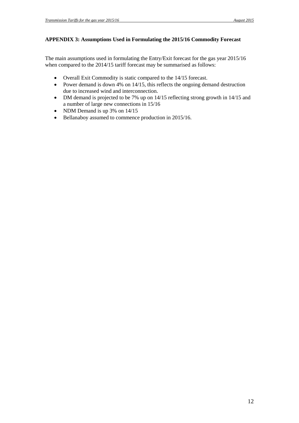### **APPENDIX 3: Assumptions Used in Formulating the 2015/16 Commodity Forecast**

The main assumptions used in formulating the Entry/Exit forecast for the gas year 2015/16 when compared to the 2014/15 tariff forecast may be summarised as follows:

- Overall Exit Commodity is static compared to the 14/15 forecast.
- Power demand is down 4% on 14/15, this reflects the ongoing demand destruction due to increased wind and interconnection.
- DM demand is projected to be 7% up on 14/15 reflecting strong growth in 14/15 and a number of large new connections in 15/16
- NDM Demand is up 3% on 14/15
- Bellanaboy assumed to commence production in 2015/16.